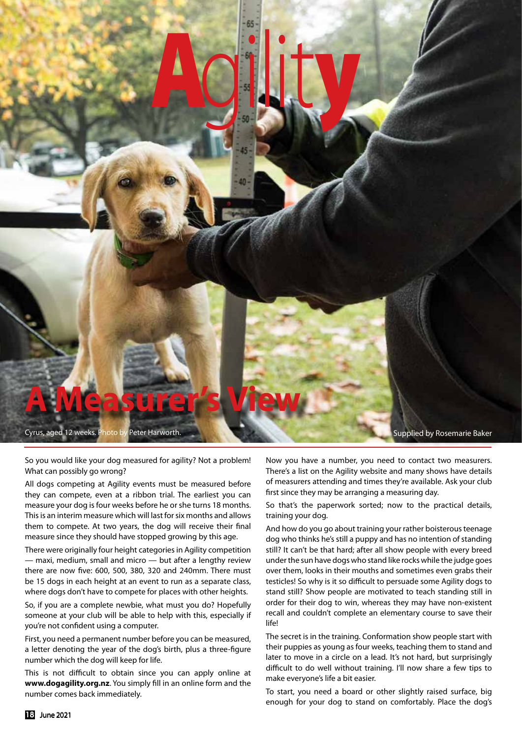

So you would like your dog measured for agility? Not a problem! What can possibly go wrong?

All dogs competing at Agility events must be measured before they can compete, even at a ribbon trial. The earliest you can measure your dog is four weeks before he or she turns 18 months. This is an interim measure which will last for six months and allows them to compete. At two years, the dog will receive their final measure since they should have stopped growing by this age.

There were originally four height categories in Agility competition — maxi, medium, small and micro — but after a lengthy review there are now five: 600, 500, 380, 320 and 240mm. There must be 15 dogs in each height at an event to run as a separate class, where dogs don't have to compete for places with other heights.

So, if you are a complete newbie, what must you do? Hopefully someone at your club will be able to help with this, especially if you're not confident using a computer.

First, you need a permanent number before you can be measured, a letter denoting the year of the dog's birth, plus a three-figure number which the dog will keep for life.

This is not difficult to obtain since you can apply online at **www.dogagility.org.nz**. You simply fill in an online form and the number comes back immediately.

Now you have a number, you need to contact two measurers. There's a list on the Agility website and many shows have details of measurers attending and times they're available. Ask your club first since they may be arranging a measuring day.

So that's the paperwork sorted; now to the practical details, training your dog.

And how do you go about training your rather boisterous teenage dog who thinks he's still a puppy and has no intention of standing still? It can't be that hard; after all show people with every breed under the sun have dogs who stand like rocks while the judge goes over them, looks in their mouths and sometimes even grabs their testicles! So why is it so difficult to persuade some Agility dogs to stand still? Show people are motivated to teach standing still in order for their dog to win, whereas they may have non-existent recall and couldn't complete an elementary course to save their life!

The secret is in the training. Conformation show people start with their puppies as young as four weeks, teaching them to stand and later to move in a circle on a lead. It's not hard, but surprisingly difficult to do well without training. I'll now share a few tips to make everyone's life a bit easier.

To start, you need a board or other slightly raised surface, big enough for your dog to stand on comfortably. Place the dog's